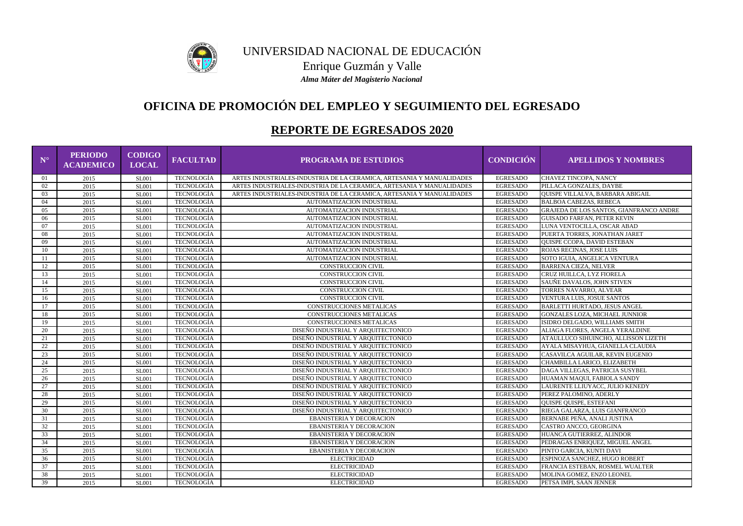| $\mathbf{N}^{\circ}$ | <b>PERIODO</b><br><b>ACADEMICO</b> | <b>CODIGO</b><br><b>LOCAL</b> | <b>FACULTAD</b>   | <b>PROGRAMA DE ESTUDIOS</b>                                           | <b>CONDICIÓN</b> | <b>APELLIDOS Y NOMBRES</b>              |
|----------------------|------------------------------------|-------------------------------|-------------------|-----------------------------------------------------------------------|------------------|-----------------------------------------|
| 01                   | 2015                               | <b>SL001</b>                  | <b>TECNOLOGÍA</b> | ARTES INDUSTRIALES-INDUSTRIA DE LA CERAMICA, ARTESANIA Y MANUALIDADES | <b>EGRESADO</b>  | CHAVEZ TINCOPA, NANCY                   |
| 02                   | 2015                               | <b>SL001</b>                  | <b>TECNOLOGÍA</b> | ARTES INDUSTRIALES-INDUSTRIA DE LA CERAMICA, ARTESANIA Y MANUALIDADES | <b>EGRESADO</b>  | PILLACA GONZALES, DAYBE                 |
| 03                   | 2015                               | <b>SL001</b>                  | <b>TECNOLOGÍA</b> | ARTES INDUSTRIALES-INDUSTRIA DE LA CERAMICA, ARTESANIA Y MANUALIDADES | <b>EGRESADO</b>  | QUISPE VILLALVA, BARBARA ABIGAIL        |
| 04                   | 2015                               | <b>SL001</b>                  | TECNOLOGÍA        | AUTOMATIZACION INDUSTRIAL                                             | <b>EGRESADO</b>  | <b>BALBOA CABEZAS, REBECA</b>           |
| 05                   | 2015                               | <b>SL001</b>                  | <b>TECNOLOGÍA</b> | AUTOMATIZACION INDUSTRIAL                                             | <b>EGRESADO</b>  | GRAJEDA DE LOS SANTOS, GIANFRANCO ANDRE |
| 06                   | 2015                               | <b>SL001</b>                  | TECNOLOGÍA        | AUTOMATIZACION INDUSTRIAL                                             | <b>EGRESADO</b>  | <b>GUISADO FARFAN, PETER KEVIN</b>      |
| 07                   | 2015                               | <b>SL001</b>                  | <b>TECNOLOGÍA</b> | AUTOMATIZACION INDUSTRIAL                                             | <b>EGRESADO</b>  | LUNA VENTOCILLA, OSCAR ABAD             |
| 08                   | 2015                               | <b>SL001</b>                  | <b>TECNOLOGÍA</b> | AUTOMATIZACION INDUSTRIAL                                             | <b>EGRESADO</b>  | PUERTA TORRES, JONATHAN JARET           |
| 09                   | 2015                               | <b>SL001</b>                  | TECNOLOGÍA        | AUTOMATIZACION INDUSTRIAL                                             | <b>EGRESADO</b>  | QUISPE CCOPA, DAVID ESTEBAN             |
| 10                   | 2015                               | <b>SL001</b>                  | <b>TECNOLOGÍA</b> | AUTOMATIZACION INDUSTRIAL                                             | <b>EGRESADO</b>  | ROJAS RECINAS, JOSE LUIS                |
| -11                  | 2015                               | <b>SL001</b>                  | <b>TECNOLOGÍA</b> | AUTOMATIZACION INDUSTRIAL                                             | <b>EGRESADO</b>  | SOTO IGUIA, ANGELICA VENTURA            |
| 12                   | 2015                               | <b>SL001</b>                  | TECNOLOGÍA        | <b>CONSTRUCCION CIVIL</b>                                             | <b>EGRESADO</b>  | <b>BARRENA CIEZA, NELVER</b>            |
| 13                   | 2015                               | <b>SL001</b>                  | TECNOLOGÍA        | <b>CONSTRUCCION CIVIL</b>                                             | <b>EGRESADO</b>  | CRUZ HUILLCA, LYZ FIORELA               |
| 14                   | 2015                               | <b>SL001</b>                  | TECNOLOGÍA        | <b>CONSTRUCCION CIVIL</b>                                             | <b>EGRESADO</b>  | SAUÑE DAVALOS, JOHN STIVEN              |
| 15                   | 2015                               | <b>SL001</b>                  | <b>TECNOLOGÍA</b> | <b>CONSTRUCCION CIVIL</b>                                             | <b>EGRESADO</b>  | TORRES NAVARRO, ALVEAR                  |
| 16                   | 2015                               | <b>SL001</b>                  | <b>TECNOLOGÍA</b> | <b>CONSTRUCCION CIVIL</b>                                             | <b>EGRESADO</b>  | VENTURA LUIS, JOSUE SANTOS              |
| 17                   | 2015                               | <b>SL001</b>                  | <b>TECNOLOGÍA</b> | CONSTRUCCIONES METALICAS                                              | <b>EGRESADO</b>  | BARLETTI HURTADO, JESUS ANGEL           |
| 18                   | 2015                               | <b>SL001</b>                  | <b>TECNOLOGÍA</b> | CONSTRUCCIONES METALICAS                                              | <b>EGRESADO</b>  | GONZALES LOZA, MICHAEL JUNNIOR          |
| 19                   | 2015                               | <b>SL001</b>                  | <b>TECNOLOGÍA</b> | CONSTRUCCIONES METALICAS                                              | <b>EGRESADO</b>  | ISIDRO DELGADO, WILLIAMS SMITH          |
| 20                   | 2015                               | <b>SL001</b>                  | TECNOLOGÍA        | DISEÑO INDUSTRIAL Y ARQUITECTONICO                                    | <b>EGRESADO</b>  | ALIAGA FLORES, ANGELA YERALDINE         |
| 21                   | 2015                               | <b>SL001</b>                  | TECNOLOGÍA        | DISEÑO INDUSTRIAL Y ARQUITECTONICO                                    | <b>EGRESADO</b>  | ATAULLUCO SIHUINCHO, ALLISSON LIZETH    |
| $22\,$               | 2015                               | <b>SL001</b>                  | TECNOLOGÍA        | DISEÑO INDUSTRIAL Y ARQUITECTONICO                                    | <b>EGRESADO</b>  | AYALA MISAYHUA, GIANELLA CLAUDIA        |
| 23                   | 2015                               | <b>SL001</b>                  | <b>TECNOLOGÍA</b> | DISEÑO INDUSTRIAL Y ARQUITECTONICO                                    | <b>EGRESADO</b>  | CASAVILCA AGUILAR, KEVIN EUGENIO        |
| 24                   | 2015                               | <b>SL001</b>                  | <b>TECNOLOGÍA</b> | DISEÑO INDUSTRIAL Y ARQUITECTONICO                                    | <b>EGRESADO</b>  | CHAMBILLA LARICO, ELIZABETH             |
| 25                   | 2015                               | <b>SL001</b>                  | <b>TECNOLOGÍA</b> | DISEÑO INDUSTRIAL Y ARQUITECTONICO                                    | <b>EGRESADO</b>  | DAGA VILLEGAS, PATRICIA SUSYBEL         |
| 26                   | 2015                               | <b>SL001</b>                  | TECNOLOGÍA        | DISEÑO INDUSTRIAL Y ARQUITECTONICO                                    | <b>EGRESADO</b>  | HUAMAN MAQUI, FABIOLA SANDY             |
| 27                   | 2015                               | <b>SL001</b>                  | TECNOLOGÍA        | DISEÑO INDUSTRIAL Y ARQUITECTONICO                                    | <b>EGRESADO</b>  | LAURENTE LLIUYACC, JULIO KENEDY         |
| $28\,$               | 2015                               | <b>SL001</b>                  | <b>TECNOLOGÍA</b> | DISEÑO INDUSTRIAL Y ARQUITECTONICO                                    | <b>EGRESADO</b>  | PEREZ PALOMINO, ADERLY                  |
| 29                   | 2015                               | <b>SL001</b>                  | TECNOLOGÍA        | DISEÑO INDUSTRIAL Y ARQUITECTONICO                                    | <b>EGRESADO</b>  | QUISPE QUISPE, ESTEFANI                 |
| 30                   | 2015                               | <b>SL001</b>                  | <b>TECNOLOGÍA</b> | DISEÑO INDUSTRIAL Y ARQUITECTONICO                                    | <b>EGRESADO</b>  | RIEGA GALARZA, LUIS GIANFRANCO          |
| 31                   | 2015                               | SL001                         | TECNOLOGÍA        | <b>EBANISTERIA Y DECORACION</b>                                       | <b>EGRESADO</b>  | BERNABE PEÑA, ANALI JUSTINA             |
| 32                   | 2015                               | <b>SL001</b>                  | <b>TECNOLOGÍA</b> | EBANISTERIA Y DECORACION                                              | <b>EGRESADO</b>  | CASTRO ANCCO, GEORGINA                  |
| 33                   | 2015                               | <b>SL001</b>                  | TECNOLOGÍA        | <b>EBANISTERIA Y DECORACION</b>                                       | <b>EGRESADO</b>  | HUANCA GUTIERREZ, ALINDOR               |
| 34                   | 2015                               | <b>SL001</b>                  | TECNOLOGÍA        | <b>EBANISTERIA Y DECORACION</b>                                       | <b>EGRESADO</b>  | PEDRAGAS ENRIQUEZ, MIGUEL ANGEL         |
| 35                   | 2015                               | <b>SL001</b>                  | TECNOLOGÍA        | <b>EBANISTERIA Y DECORACION</b>                                       | <b>EGRESADO</b>  | PINTO GARCIA, KUNTI DAVI                |
| 36                   | 2015                               | <b>SL001</b>                  | TECNOLOGÍA        | <b>ELECTRICIDAD</b>                                                   | <b>EGRESADO</b>  | ESPINOZA SANCHEZ, HUGO ROBERT           |
| 37                   | 2015                               | <b>SL001</b>                  | TECNOLOGÍA        | <b>ELECTRICIDAD</b>                                                   | <b>EGRESADO</b>  | FRANCIA ESTEBAN, ROSMEL WUALTER         |
| 38                   | 2015                               | <b>SL001</b>                  | TECNOLOGÍA        | <b>ELECTRICIDAD</b>                                                   | <b>EGRESADO</b>  | MOLINA GOMEZ, ENZO LEONEL               |
| 39                   | 2015                               | <b>SL001</b>                  | TECNOLOGÍA        | <b>ELECTRICIDAD</b>                                                   | <b>EGRESADO</b>  | PETSA IMPI, SAAN JENNER                 |



### UNIVERSIDAD NACIONAL DE EDUCACIÓN Enrique Guzmán y Valle *Alma Máter del Magisterio Nacional*

# **OFICINA DE PROMOCIÓN DEL EMPLEO Y SEGUIMIENTO DEL EGRESADO**

## **REPORTE DE EGRESADOS 2020**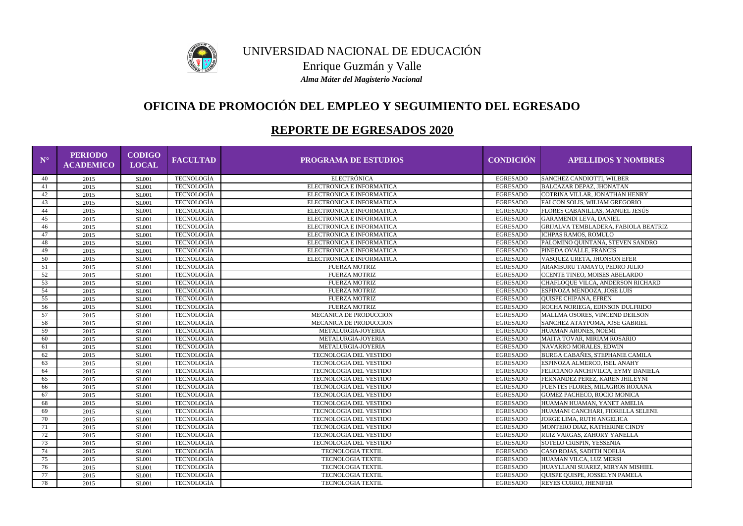

### UNIVERSIDAD NACIONAL DE EDUCACIÓN Enrique Guzmán y Valle *Alma Máter del Magisterio Nacional*

# **OFICINA DE PROMOCIÓN DEL EMPLEO Y SEGUIMIENTO DEL EGRESADO**

## **REPORTE DE EGRESADOS 2020**

| $\mathbf{N}^{\circ}$ | <b>PERIODO</b><br><b>ACADEMICO</b> | <b>CODIGO</b><br><b>LOCAL</b> | <b>FACULTAD</b>   | <b>PROGRAMA DE ESTUDIOS</b> | <b>CONDICIÓN</b> | <b>APELLIDOS Y NOMBRES</b>             |
|----------------------|------------------------------------|-------------------------------|-------------------|-----------------------------|------------------|----------------------------------------|
| 40                   | 2015                               | <b>SL001</b>                  | <b>TECNOLOGÍA</b> | <b>ELECTRÓNICA</b>          | <b>EGRESADO</b>  | SANCHEZ CANDIOTTI, WILBER              |
| 41                   | 2015                               | <b>SL001</b>                  | <b>TECNOLOGÍA</b> | ELECTRONICA E INFORMATICA   | <b>EGRESADO</b>  | <b>BALCAZAR DEPAZ, JHONATAN</b>        |
| 42                   | 2015                               | <b>SL001</b>                  | TECNOLOGÍA        | ELECTRONICA E INFORMATICA   | <b>EGRESADO</b>  | COTRINA VILLAR, JONATHAN HENRY         |
| 43                   | 2015                               | <b>SL001</b>                  | TECNOLOGÍA        | ELECTRONICA E INFORMATICA   | <b>EGRESADO</b>  | FALCON SOLIS, WILIAM GREGORIO          |
| 44                   | 2015                               | <b>SL001</b>                  | TECNOLOGÍA        | ELECTRONICA E INFORMATICA   | <b>EGRESADO</b>  | FLORES CABANILLAS, MANUEL JESÚS        |
| 45                   | 2015                               | <b>SL001</b>                  | TECNOLOGÍA        | ELECTRONICA E INFORMATICA   | <b>EGRESADO</b>  | <b>GARAMENDI LEVA, DANIEL</b>          |
| 46                   | 2015                               | <b>SL001</b>                  | <b>TECNOLOGÍA</b> | ELECTRONICA E INFORMATICA   | <b>EGRESADO</b>  | GRIJALVA TEMBLADERA, FABIOLA BEATRIZ   |
| 47                   | 2015                               | <b>SL001</b>                  | <b>TECNOLOGÍA</b> | ELECTRONICA E INFORMATICA   | <b>EGRESADO</b>  | ICHPAS RAMOS, ROMULO                   |
| 48                   | 2015                               | <b>SL001</b>                  | <b>TECNOLOGÍA</b> | ELECTRONICA E INFORMATICA   | <b>EGRESADO</b>  | PALOMINO QUINTANA, STEVEN SANDRO       |
| 49                   | 2015                               | <b>SL001</b>                  | TECNOLOGÍA        | ELECTRONICA E INFORMATICA   | <b>EGRESADO</b>  | PINEDA OVALLE, FRANCIS                 |
| 50                   | 2015                               | <b>SL001</b>                  | TECNOLOGÍA        | ELECTRONICA E INFORMATICA   | <b>EGRESADO</b>  | VASQUEZ URETA, JHONSON EFER            |
| 51                   | 2015                               | <b>SL001</b>                  | TECNOLOGÍA        | <b>FUERZA MOTRIZ</b>        | <b>EGRESADO</b>  | ARAMBURU TAMAYO, PEDRO JULIO           |
| 52                   | 2015                               | <b>SL001</b>                  | TECNOLOGÍA        | <b>FUERZA MOTRIZ</b>        | <b>EGRESADO</b>  | <b>CCENTE TINEO, MOISES ABELARDO</b>   |
| 53                   | 2015                               | <b>SL001</b>                  | TECNOLOGÍA        | <b>FUERZA MOTRIZ</b>        | <b>EGRESADO</b>  | CHAFLOQUE VILCA, ANDERSON RICHARD      |
| 54                   | 2015                               | <b>SL001</b>                  | TECNOLOGÍA        | <b>FUERZA MOTRIZ</b>        | <b>EGRESADO</b>  | ESPINOZA MENDOZA, JOSE LUIS            |
| 55                   | 2015                               | <b>SL001</b>                  | <b>TECNOLOGÍA</b> | <b>FUERZA MOTRIZ</b>        | <b>EGRESADO</b>  | <b>QUISPE CHIPANA, EFREN</b>           |
| 56                   | 2015                               | <b>SL001</b>                  | TECNOLOGÍA        | <b>FUERZA MOTRIZ</b>        | <b>EGRESADO</b>  | ROCHA NORIEGA, EDINSON DULFRIDO        |
| 57                   | 2015                               | <b>SL001</b>                  | TECNOLOGÍA        | MECANICA DE PRODUCCION      | <b>EGRESADO</b>  | MALLMA OSORES, VINCEND DEILSON         |
| 58                   | 2015                               | <b>SL001</b>                  | <b>TECNOLOGÍA</b> | MECANICA DE PRODUCCION      | <b>EGRESADO</b>  | SANCHEZ ATAYPOMA, JOSE GABRIEL         |
| 59                   | 2015                               | <b>SL001</b>                  | <b>TECNOLOGÍA</b> | METALURGIA-JOYERIA          | <b>EGRESADO</b>  | HUAMAN ARONES, NOEMI                   |
| 60                   | 2015                               | <b>SL001</b>                  | TECNOLOGÍA        | METALURGIA-JOYERIA          | <b>EGRESADO</b>  | MAITA TOVAR, MIRIAM ROSARIO            |
| 61                   | 2015                               | <b>SL001</b>                  | <b>TECNOLOGÍA</b> | METALURGIA-JOYERIA          | <b>EGRESADO</b>  | NAVARRO MORALES, EDWIN                 |
| 62                   | 2015                               | <b>SL001</b>                  | <b>TECNOLOGÍA</b> | TECNOLOGIA DEL VESTIDO      | <b>EGRESADO</b>  | <b>BURGA CABAÑES, STEPHANIE CAMILA</b> |
| 63                   | 2015                               | <b>SL001</b>                  | TECNOLOGÍA        | TECNOLOGIA DEL VESTIDO      | <b>EGRESADO</b>  | ESPINOZA ALMERCO, ISEL ANAHY           |
| 64                   | 2015                               | <b>SL001</b>                  | <b>TECNOLOGÍA</b> | TECNOLOGIA DEL VESTIDO      | <b>EGRESADO</b>  | FELICIANO ANCHIVILCA, EYMY DANIELA     |
| 65                   | 2015                               | <b>SL001</b>                  | TECNOLOGÍA        | TECNOLOGIA DEL VESTIDO      | <b>EGRESADO</b>  | FERNANDEZ PEREZ, KAREN JHILEYNI        |
| 66                   | 2015                               | <b>SL001</b>                  | <b>TECNOLOGÍA</b> | TECNOLOGIA DEL VESTIDO      | <b>EGRESADO</b>  | FUENTES FLORES, MILAGROS ROXANA        |
| 67                   | 2015                               | <b>SL001</b>                  | <b>TECNOLOGÍA</b> | TECNOLOGIA DEL VESTIDO      | <b>EGRESADO</b>  | GOMEZ PACHECO, ROCIO MONICA            |
| 68                   | 2015                               | <b>SL001</b>                  | <b>TECNOLOGÍA</b> | TECNOLOGIA DEL VESTIDO      | <b>EGRESADO</b>  | HUAMAN HUAMAN, YANET AMELIA            |
| 69                   | 2015                               | <b>SL001</b>                  | <b>TECNOLOGÍA</b> | TECNOLOGIA DEL VESTIDO      | <b>EGRESADO</b>  | HUAMANI CANCHARI, FIORELLA SELENE      |
| 70                   | 2015                               | <b>SL001</b>                  | <b>TECNOLOGÍA</b> | TECNOLOGIA DEL VESTIDO      | <b>EGRESADO</b>  | JORGE LIMA, RUTH ANGELICA              |
| 71                   | 2015                               | SL001                         | <b>TECNOLOGÍA</b> | TECNOLOGIA DEL VESTIDO      | EGRESADO         | MONTERO DIAZ, KATHERINE CINDY          |
| 72                   | 2015                               | <b>SL001</b>                  | TECNOLOGÍA        | TECNOLOGIA DEL VESTIDO      | <b>EGRESADO</b>  | RUIZ VARGAS, ZAHORY YANELLA            |
| 73                   | 2015                               | <b>SL001</b>                  | TECNOLOGÍA        | TECNOLOGIA DEL VESTIDO      | <b>EGRESADO</b>  | SOTELO CRISPIN, YESSENIA               |
| 74                   | 2015                               | <b>SL001</b>                  | TECNOLOGÍA        | TECNOLOGIA TEXTIL           | <b>EGRESADO</b>  | CASO ROJAS, SADITH NOELIA              |
| 75                   | 2015                               | <b>SL001</b>                  | TECNOLOGÍA        | <b>TECNOLOGIA TEXTIL</b>    | <b>EGRESADO</b>  | HUAMAN VILCA, LUZ MERSI                |
| 76                   | 2015                               | <b>SL001</b>                  | TECNOLOGÍA        | TECNOLOGIA TEXTIL           | <b>EGRESADO</b>  | HUAYLLANI SUAREZ, MIRYAN MISHIEL       |
| 77                   | 2015                               | <b>SL001</b>                  | TECNOLOGÍA        | <b>TECNOLOGIA TEXTIL</b>    | <b>EGRESADO</b>  | QUISPE QUISPE, JOSSELYN PAMELA         |
| 78                   | 2015                               | <b>SL001</b>                  | TECNOLOGÍA        | TECNOLOGIA TEXTIL           | <b>EGRESADO</b>  | <b>REYES CURRO, JHENIFER</b>           |